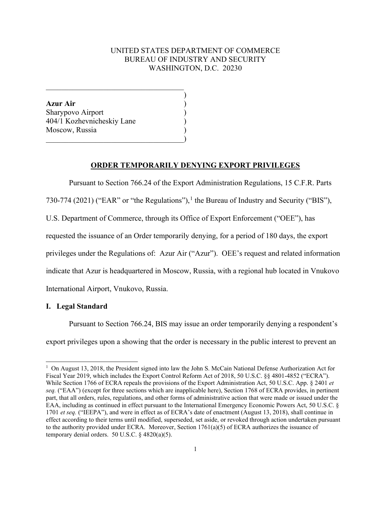# UNITED STATES DEPARTMENT OF COMMERCE BUREAU OF INDUSTRY AND SECURITY WASHINGTON, D.C. 20230

)

**Azur Air** ) Sharypovo Airport ) 404/1 Kozhevnicheskiy Lane ) Moscow, Russia )  $\hspace{.5em}$   $\hspace{.5em}$   $\hspace{.5em}$   $\hspace{.5em}$   $\hspace{.5em}$   $\hspace{.5em}$   $\hspace{.5em}$   $\hspace{.5em}$   $\hspace{.5em}$   $\hspace{.5em}$   $\hspace{.5em}$   $\hspace{.5em}$   $\hspace{.5em}$   $\hspace{.5em}$   $\hspace{.5em}$   $\hspace{.5em}$   $\hspace{.5em}$   $\hspace{.5em}$   $\hspace{.5em}$   $\hspace{.5em}$ 

 $\overline{\mathcal{L}}$  , and the state of the state of the state of the state of the state of the state of the state of the state of the state of the state of the state of the state of the state of the state of the state of the stat

## **ORDER TEMPORARILY DENYING EXPORT PRIVILEGES**

Pursuant to Section 766.24 of the Export Administration Regulations, 15 C.F.R. Parts

730-774 (202[1](#page-0-0)) ("EAR" or "the Regulations"), <sup>1</sup> the Bureau of Industry and Security ("BIS"),

U.S. Department of Commerce, through its Office of Export Enforcement ("OEE"), has

requested the issuance of an Order temporarily denying, for a period of 180 days, the export

privileges under the Regulations of: Azur Air ("Azur"). OEE's request and related information

indicate that Azur is headquartered in Moscow, Russia, with a regional hub located in Vnukovo

International Airport, Vnukovo, Russia.

## **I. Legal Standard**

Pursuant to Section 766.24, BIS may issue an order temporarily denying a respondent's export privileges upon a showing that the order is necessary in the public interest to prevent an

<span id="page-0-0"></span><sup>&</sup>lt;sup>1</sup> On August 13, 2018, the President signed into law the John S. McCain National Defense Authorization Act for Fiscal Year 2019, which includes the Export Control Reform Act of 2018, 50 U.S.C. §§ 4801-4852 ("ECRA"). While Section 1766 of ECRA repeals the provisions of the Export Administration Act, 50 U.S.C. App. § 2401 *et seq.* ("EAA") (except for three sections which are inapplicable here), Section 1768 of ECRA provides, in pertinent part, that all orders, rules, regulations, and other forms of administrative action that were made or issued under the EAA, including as continued in effect pursuant to the International Emergency Economic Powers Act, 50 U.S.C. § 1701 *et seq.* ("IEEPA"), and were in effect as of ECRA's date of enactment (August 13, 2018), shall continue in effect according to their terms until modified, superseded, set aside, or revoked through action undertaken pursuant to the authority provided under ECRA. Moreover, Section 1761(a)(5) of ECRA authorizes the issuance of temporary denial orders. 50 U.S.C. § 4820(a)(5).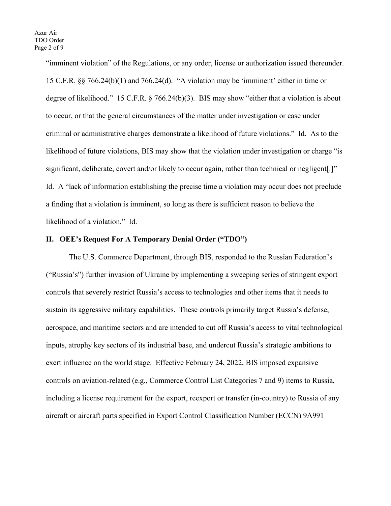"imminent violation" of the Regulations, or any order, license or authorization issued thereunder. 15 C.F.R. §§ 766.24(b)(1) and 766.24(d). "A violation may be 'imminent' either in time or degree of likelihood." 15 C.F.R. § 766.24(b)(3). BIS may show "either that a violation is about to occur, or that the general circumstances of the matter under investigation or case under criminal or administrative charges demonstrate a likelihood of future violations." Id. As to the likelihood of future violations, BIS may show that the violation under investigation or charge "is significant, deliberate, covert and/or likely to occur again, rather than technical or negligent[.]" Id. A "lack of information establishing the precise time a violation may occur does not preclude a finding that a violation is imminent, so long as there is sufficient reason to believe the likelihood of a violation." Id.

## **II. OEE's Request For A Temporary Denial Order ("TDO")**

The U.S. Commerce Department, through BIS, responded to the Russian Federation's ("Russia's") further invasion of Ukraine by implementing a sweeping series of stringent export controls that severely restrict Russia's access to technologies and other items that it needs to sustain its aggressive military capabilities. These controls primarily target Russia's defense, aerospace, and maritime sectors and are intended to cut off Russia's access to vital technological inputs, atrophy key sectors of its industrial base, and undercut Russia's strategic ambitions to exert influence on the world stage. Effective February 24, 2022, BIS imposed expansive controls on aviation-related (e.g., Commerce Control List Categories 7 and 9) items to Russia, including a license requirement for the export, reexport or transfer (in-country) to Russia of any aircraft or aircraft parts specified in Export Control Classification Number (ECCN) 9A991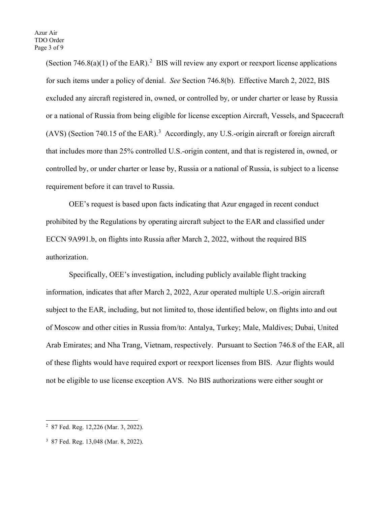(Section  $746.8(a)(1)$  of the EAR).<sup>[2](#page-2-0)</sup> BIS will review any export or reexport license applications for such items under a policy of denial. *See* Section 746.8(b). Effective March 2, 2022, BIS excluded any aircraft registered in, owned, or controlled by, or under charter or lease by Russia or a national of Russia from being eligible for license exception Aircraft, Vessels, and Spacecraft  $(AVS)$  (Section 740.15 of the EAR).<sup>[3](#page-2-1)</sup> Accordingly, any U.S.-origin aircraft or foreign aircraft that includes more than 25% controlled U.S.-origin content, and that is registered in, owned, or controlled by, or under charter or lease by, Russia or a national of Russia, is subject to a license requirement before it can travel to Russia.

OEE's request is based upon facts indicating that Azur engaged in recent conduct prohibited by the Regulations by operating aircraft subject to the EAR and classified under ECCN 9A991.b, on flights into Russia after March 2, 2022, without the required BIS authorization.

Specifically, OEE's investigation, including publicly available flight tracking information, indicates that after March 2, 2022, Azur operated multiple U.S.-origin aircraft subject to the EAR, including, but not limited to, those identified below, on flights into and out of Moscow and other cities in Russia from/to: Antalya, Turkey; Male, Maldives; Dubai, United Arab Emirates; and Nha Trang, Vietnam, respectively. Pursuant to Section 746.8 of the EAR, all of these flights would have required export or reexport licenses from BIS. Azur flights would not be eligible to use license exception AVS. No BIS authorizations were either sought or

<span id="page-2-0"></span><sup>2</sup> 87 Fed. Reg. 12,226 (Mar. 3, 2022).

<span id="page-2-1"></span><sup>3</sup> 87 Fed. Reg. 13,048 (Mar. 8, 2022).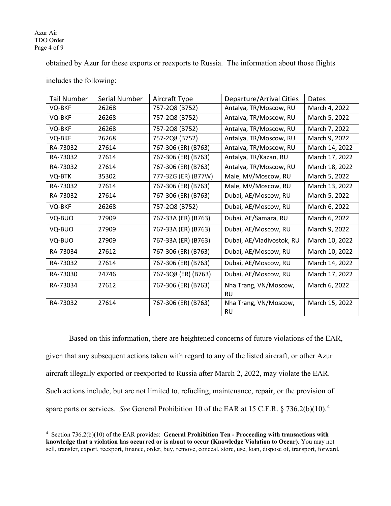#### Azur Air TDO Order Page 4 of 9

obtained by Azur for these exports or reexports to Russia. The information about those flights

| Tail Number | Serial Number | Aircraft Type       | Departure/Arrival Cities  | Dates          |
|-------------|---------------|---------------------|---------------------------|----------------|
| VQ-BKF      | 26268         | 757-2Q8 (B752)      | Antalya, TR/Moscow, RU    | March 4, 2022  |
| VQ-BKF      | 26268         | 757-2Q8 (B752)      | Antalya, TR/Moscow, RU    | March 5, 2022  |
| VQ-BKF      | 26268         | 757-2Q8 (B752)      | Antalya, TR/Moscow, RU    | March 7, 2022  |
| VQ-BKF      | 26268         | 757-2Q8 (B752)      | Antalya, TR/Moscow, RU    | March 9, 2022  |
| RA-73032    | 27614         | 767-306 (ER) (B763) | Antalya, TR/Moscow, RU    | March 14, 2022 |
| RA-73032    | 27614         | 767-306 (ER) (B763) | Antalya, TR/Kazan, RU     | March 17, 2022 |
| RA-73032    | 27614         | 767-306 (ER) (B763) | Antalya, TR/Moscow, RU    | March 18, 2022 |
| VQ-BTK      | 35302         | 777-3ZG (ER) (B77W) | Male, MV/Moscow, RU       | March 5, 2022  |
| RA-73032    | 27614         | 767-306 (ER) (B763) | Male, MV/Moscow, RU       | March 13, 2022 |
| RA-73032    | 27614         | 767-306 (ER) (B763) | Dubai, AE/Moscow, RU      | March 5, 2022  |
| VQ-BKF      | 26268         | 757-2Q8 (B752)      | Dubai, AE/Moscow, RU      | March 6, 2022  |
| VQ-BUO      | 27909         | 767-33A (ER) (B763) | Dubai, AE/Samara, RU      | March 6, 2022  |
| VQ-BUO      | 27909         | 767-33A (ER) (B763) | Dubai, AE/Moscow, RU      | March 9, 2022  |
| VQ-BUO      | 27909         | 767-33A (ER) (B763) | Dubai, AE/Vladivostok, RU | March 10, 2022 |
| RA-73034    | 27612         | 767-306 (ER) (B763) | Dubai, AE/Moscow, RU      | March 10, 2022 |
| RA-73032    | 27614         | 767-306 (ER) (B763) | Dubai, AE/Moscow, RU      | March 14, 2022 |
| RA-73030    | 24746         | 767-3Q8 (ER) (B763) | Dubai, AE/Moscow, RU      | March 17, 2022 |
| RA-73034    | 27612         | 767-306 (ER) (B763) | Nha Trang, VN/Moscow,     | March 6, 2022  |
|             |               |                     | <b>RU</b>                 |                |
| RA-73032    | 27614         | 767-306 (ER) (B763) | Nha Trang, VN/Moscow,     | March 15, 2022 |
|             |               |                     | <b>RU</b>                 |                |

includes the following:

Based on this information, there are heightened concerns of future violations of the EAR, given that any subsequent actions taken with regard to any of the listed aircraft, or other Azur aircraft illegally exported or reexported to Russia after March 2, 2022, may violate the EAR. Such actions include, but are not limited to, refueling, maintenance, repair, or the provision of spare parts or services. *See* General Prohibition 10 of the EAR at 15 C.F.R. § 736.2(b)(10). [4](#page-3-0)

<span id="page-3-0"></span><sup>4</sup> Section 736.2(b)(10) of the EAR provides: **General Prohibition Ten - Proceeding with transactions with knowledge that a violation has occurred or is about to occur (Knowledge Violation to Occur)**. You may not sell, transfer, export, reexport, finance, order, buy, remove, conceal, store, use, loan, dispose of, transport, forward,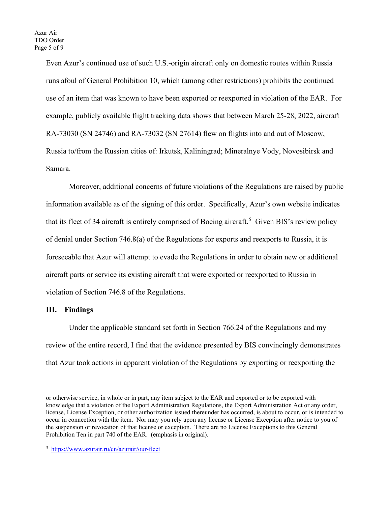Even Azur's continued use of such U.S.-origin aircraft only on domestic routes within Russia runs afoul of General Prohibition 10, which (among other restrictions) prohibits the continued use of an item that was known to have been exported or reexported in violation of the EAR. For example, publicly available flight tracking data shows that between March 25-28, 2022, aircraft RA-73030 (SN 24746) and RA-73032 (SN 27614) flew on flights into and out of Moscow, Russia to/from the Russian cities of: Irkutsk, Kaliningrad; Mineralnye Vody, Novosibirsk and Samara.

Moreover, additional concerns of future violations of the Regulations are raised by public information available as of the signing of this order. Specifically, Azur's own website indicates that its fleet of 34 aircraft is entirely comprised of Boeing aircraft.<sup>[5](#page-4-0)</sup> Given BIS's review policy of denial under Section 746.8(a) of the Regulations for exports and reexports to Russia, it is foreseeable that Azur will attempt to evade the Regulations in order to obtain new or additional aircraft parts or service its existing aircraft that were exported or reexported to Russia in violation of Section 746.8 of the Regulations.

## **III. Findings**

Under the applicable standard set forth in Section 766.24 of the Regulations and my review of the entire record, I find that the evidence presented by BIS convincingly demonstrates that Azur took actions in apparent violation of the Regulations by exporting or reexporting the

or otherwise service, in whole or in part, any item subject to the EAR and exported or to be exported with knowledge that a violation of the Export Administration Regulations, the Export Administration Act or any order, license, License Exception, or other authorization issued thereunder has occurred, is about to occur, or is intended to occur in connection with the item. Nor may you rely upon any license or License Exception after notice to you of the suspension or revocation of that license or exception. There are no License Exceptions to this General Prohibition Ten in part 740 of the EAR. (emphasis in original).

<span id="page-4-0"></span><sup>&</sup>lt;sup>5</sup> <https://www.azurair.ru/en/azurair/our-fleet>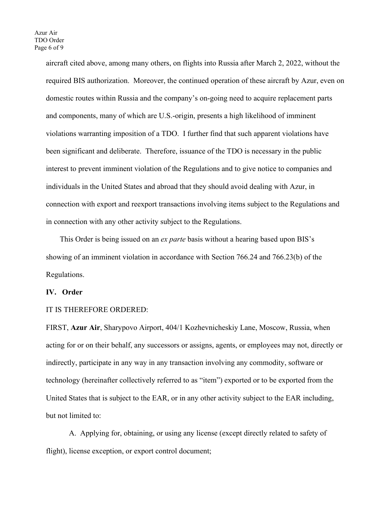aircraft cited above, among many others, on flights into Russia after March 2, 2022, without the required BIS authorization. Moreover, the continued operation of these aircraft by Azur, even on domestic routes within Russia and the company's on-going need to acquire replacement parts and components, many of which are U.S.-origin, presents a high likelihood of imminent violations warranting imposition of a TDO. I further find that such apparent violations have been significant and deliberate. Therefore, issuance of the TDO is necessary in the public interest to prevent imminent violation of the Regulations and to give notice to companies and individuals in the United States and abroad that they should avoid dealing with Azur, in connection with export and reexport transactions involving items subject to the Regulations and in connection with any other activity subject to the Regulations.

This Order is being issued on an *ex parte* basis without a hearing based upon BIS's showing of an imminent violation in accordance with Section 766.24 and 766.23(b) of the Regulations.

### **IV. Order**

## IT IS THEREFORE ORDERED:

FIRST, **Azur Air**, Sharypovo Airport, 404/1 Kozhevnicheskiy Lane, Moscow, Russia, when acting for or on their behalf, any successors or assigns, agents, or employees may not, directly or indirectly, participate in any way in any transaction involving any commodity, software or technology (hereinafter collectively referred to as "item") exported or to be exported from the United States that is subject to the EAR, or in any other activity subject to the EAR including, but not limited to:

A. Applying for, obtaining, or using any license (except directly related to safety of flight), license exception, or export control document;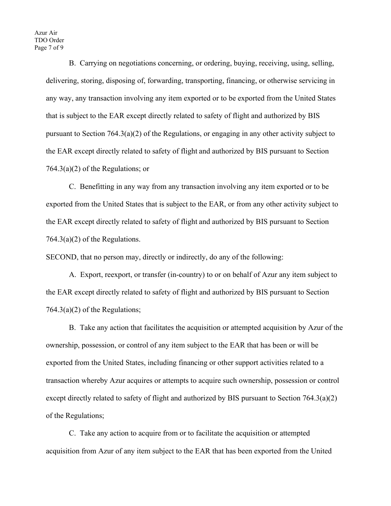B. Carrying on negotiations concerning, or ordering, buying, receiving, using, selling, delivering, storing, disposing of, forwarding, transporting, financing, or otherwise servicing in any way, any transaction involving any item exported or to be exported from the United States that is subject to the EAR except directly related to safety of flight and authorized by BIS pursuant to Section 764.3(a)(2) of the Regulations, or engaging in any other activity subject to the EAR except directly related to safety of flight and authorized by BIS pursuant to Section 764.3(a)(2) of the Regulations; or

C. Benefitting in any way from any transaction involving any item exported or to be exported from the United States that is subject to the EAR, or from any other activity subject to the EAR except directly related to safety of flight and authorized by BIS pursuant to Section 764.3(a)(2) of the Regulations.

SECOND, that no person may, directly or indirectly, do any of the following:

A. Export, reexport, or transfer (in-country) to or on behalf of Azur any item subject to the EAR except directly related to safety of flight and authorized by BIS pursuant to Section  $764.3(a)(2)$  of the Regulations;

B. Take any action that facilitates the acquisition or attempted acquisition by Azur of the ownership, possession, or control of any item subject to the EAR that has been or will be exported from the United States, including financing or other support activities related to a transaction whereby Azur acquires or attempts to acquire such ownership, possession or control except directly related to safety of flight and authorized by BIS pursuant to Section  $764.3(a)(2)$ of the Regulations;

C. Take any action to acquire from or to facilitate the acquisition or attempted acquisition from Azur of any item subject to the EAR that has been exported from the United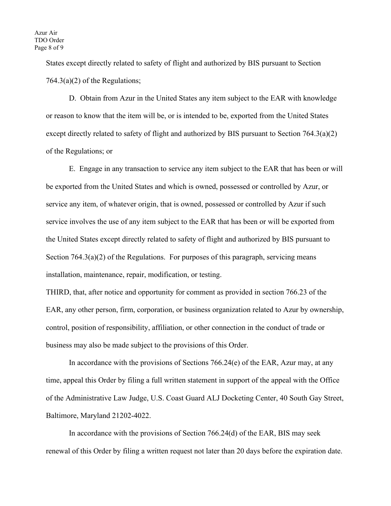States except directly related to safety of flight and authorized by BIS pursuant to Section  $764.3(a)(2)$  of the Regulations;

D. Obtain from Azur in the United States any item subject to the EAR with knowledge or reason to know that the item will be, or is intended to be, exported from the United States except directly related to safety of flight and authorized by BIS pursuant to Section 764.3(a)(2) of the Regulations; or

E. Engage in any transaction to service any item subject to the EAR that has been or will be exported from the United States and which is owned, possessed or controlled by Azur, or service any item, of whatever origin, that is owned, possessed or controlled by Azur if such service involves the use of any item subject to the EAR that has been or will be exported from the United States except directly related to safety of flight and authorized by BIS pursuant to Section 764.3(a)(2) of the Regulations. For purposes of this paragraph, servicing means installation, maintenance, repair, modification, or testing.

THIRD, that, after notice and opportunity for comment as provided in section 766.23 of the EAR, any other person, firm, corporation, or business organization related to Azur by ownership, control, position of responsibility, affiliation, or other connection in the conduct of trade or business may also be made subject to the provisions of this Order.

In accordance with the provisions of Sections 766.24(e) of the EAR, Azur may, at any time, appeal this Order by filing a full written statement in support of the appeal with the Office of the Administrative Law Judge, U.S. Coast Guard ALJ Docketing Center, 40 South Gay Street, Baltimore, Maryland 21202-4022.

In accordance with the provisions of Section 766.24(d) of the EAR, BIS may seek renewal of this Order by filing a written request not later than 20 days before the expiration date.